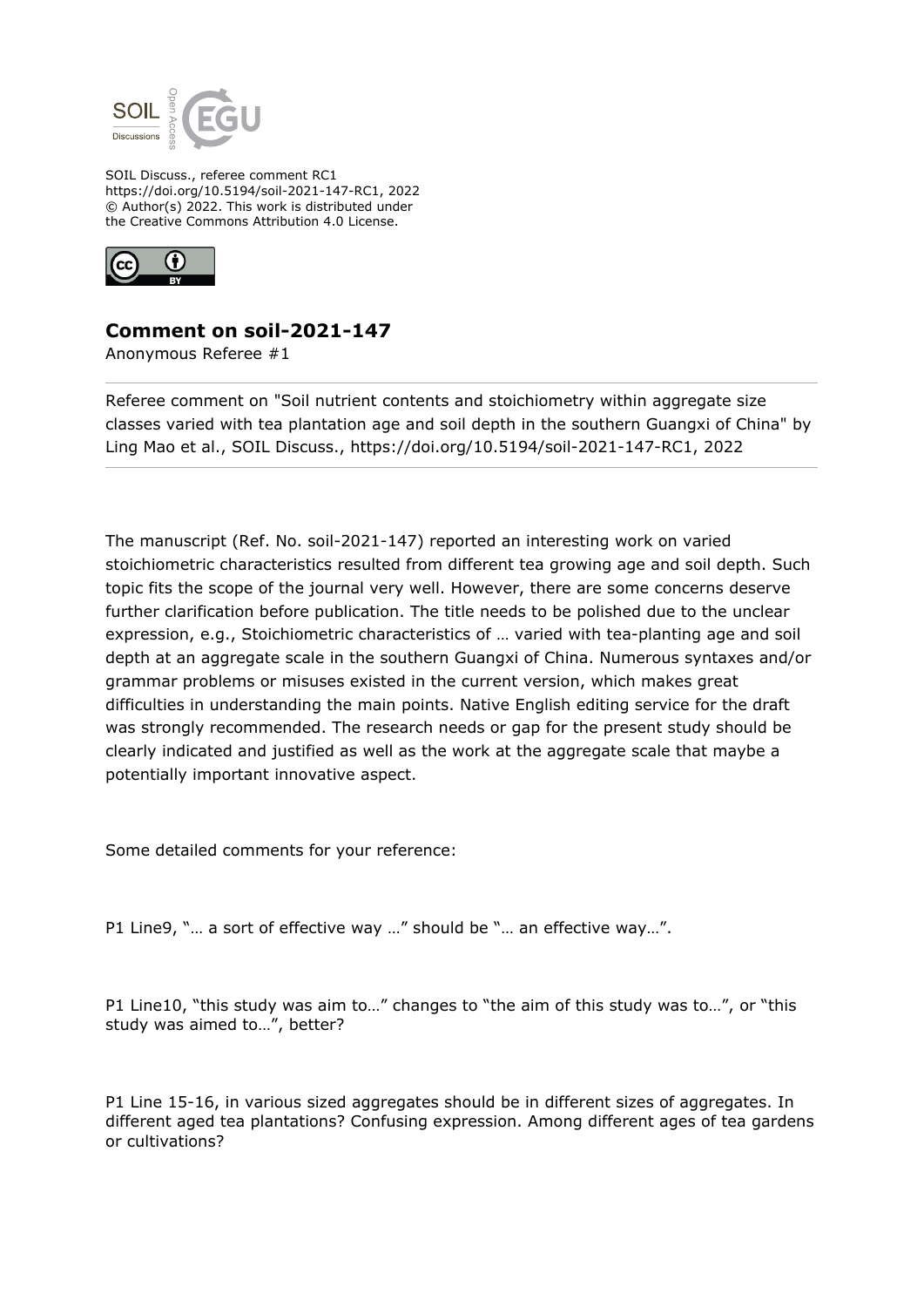

SOIL Discuss., referee comment RC1 https://doi.org/10.5194/soil-2021-147-RC1, 2022 © Author(s) 2022. This work is distributed under the Creative Commons Attribution 4.0 License.



## **Comment on soil-2021-147**

Anonymous Referee #1

Referee comment on "Soil nutrient contents and stoichiometry within aggregate size classes varied with tea plantation age and soil depth in the southern Guangxi of China" by Ling Mao et al., SOIL Discuss., https://doi.org/10.5194/soil-2021-147-RC1, 2022

The manuscript (Ref. No. soil-2021-147) reported an interesting work on varied stoichiometric characteristics resulted from different tea growing age and soil depth. Such topic fits the scope of the journal very well. However, there are some concerns deserve further clarification before publication. The title needs to be polished due to the unclear expression, e.g., Stoichiometric characteristics of … varied with tea-planting age and soil depth at an aggregate scale in the southern Guangxi of China. Numerous syntaxes and/or grammar problems or misuses existed in the current version, which makes great difficulties in understanding the main points. Native English editing service for the draft was strongly recommended. The research needs or gap for the present study should be clearly indicated and justified as well as the work at the aggregate scale that maybe a potentially important innovative aspect.

Some detailed comments for your reference:

P1 Line9, "… a sort of effective way …" should be "… an effective way…".

P1 Line10, "this study was aim to…" changes to "the aim of this study was to…", or "this study was aimed to…", better?

P1 Line 15-16, in various sized aggregates should be in different sizes of aggregates. In different aged tea plantations? Confusing expression. Among different ages of tea gardens or cultivations?